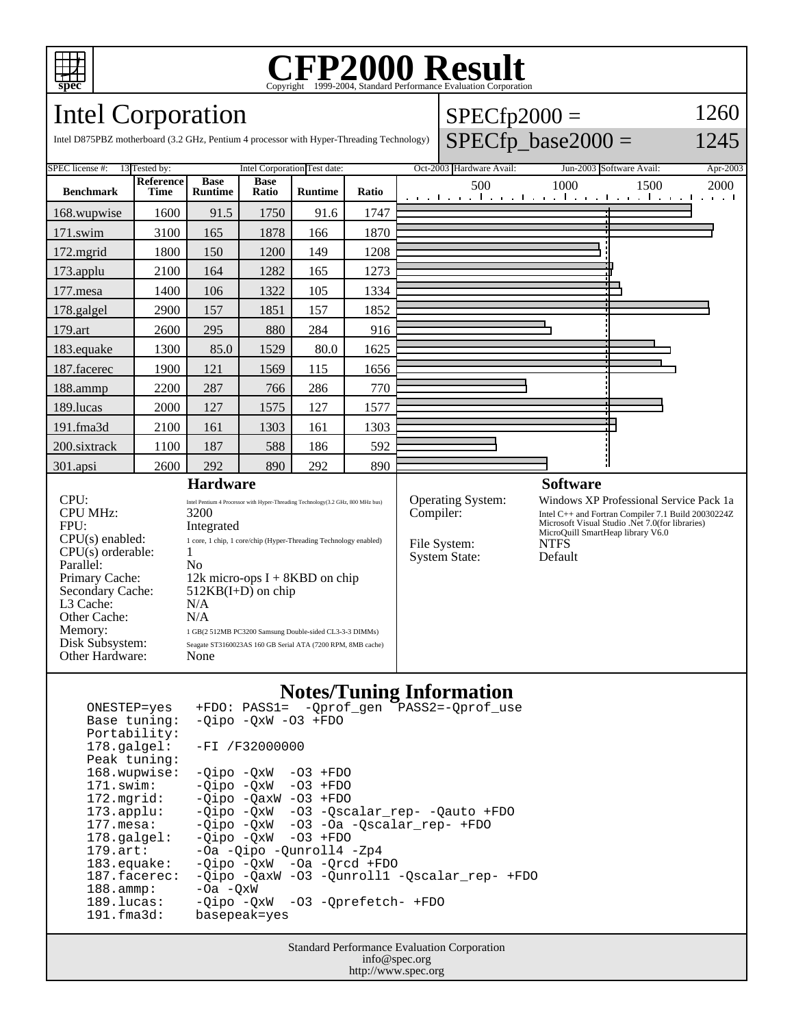

## Copyright ©1999-2004, Standard Performance Evaluation Corporation

 $SPECfp2000 =$ 

1260

## Intel Corporation

| $SPECfp\_base2000 =$<br>1245<br>Intel D875PBZ motherboard (3.2 GHz, Pentium 4 processor with Hyper-Threading Technology)                                                                                                                                                                                                                                                                                                                                                                                                                                                                                                                        |                              |                               |                      |                |           |                                                                  |     |                                                                                                                                                                                                                                    |                          |                                                           |      |
|-------------------------------------------------------------------------------------------------------------------------------------------------------------------------------------------------------------------------------------------------------------------------------------------------------------------------------------------------------------------------------------------------------------------------------------------------------------------------------------------------------------------------------------------------------------------------------------------------------------------------------------------------|------------------------------|-------------------------------|----------------------|----------------|-----------|------------------------------------------------------------------|-----|------------------------------------------------------------------------------------------------------------------------------------------------------------------------------------------------------------------------------------|--------------------------|-----------------------------------------------------------|------|
| SPEC license #:<br>13 Tested by:                                                                                                                                                                                                                                                                                                                                                                                                                                                                                                                                                                                                                | Intel Corporation Test date: |                               |                      |                |           | Oct-2003 Hardware Avail:                                         |     |                                                                                                                                                                                                                                    | Jun-2003 Software Avail: | Apr-2003                                                  |      |
| <b>Benchmark</b>                                                                                                                                                                                                                                                                                                                                                                                                                                                                                                                                                                                                                                | Reference<br><b>Time</b>     | <b>Base</b><br><b>Runtime</b> | <b>Base</b><br>Ratio | <b>Runtime</b> | Ratio     |                                                                  | 500 |                                                                                                                                                                                                                                    | 1000                     | 1500<br>والمتعمر المتعمر المتعمر المتعمر والمتعمر المتعمر | 2000 |
| 168.wupwise                                                                                                                                                                                                                                                                                                                                                                                                                                                                                                                                                                                                                                     | 1600                         | 91.5                          | 1750                 | 91.6           | 1747      |                                                                  |     |                                                                                                                                                                                                                                    |                          |                                                           |      |
| $171$ .swim                                                                                                                                                                                                                                                                                                                                                                                                                                                                                                                                                                                                                                     | 3100                         | 165                           | 1878                 | 166            | 1870      |                                                                  |     |                                                                                                                                                                                                                                    |                          |                                                           |      |
| $172$ .mgrid                                                                                                                                                                                                                                                                                                                                                                                                                                                                                                                                                                                                                                    | 1800                         | 150                           | 1200                 | 149            | 1208      |                                                                  |     |                                                                                                                                                                                                                                    |                          |                                                           |      |
| 173.applu                                                                                                                                                                                                                                                                                                                                                                                                                                                                                                                                                                                                                                       | 2100                         | 164                           | 1282                 | 165            | 1273      |                                                                  |     |                                                                                                                                                                                                                                    |                          |                                                           |      |
| 177.mesa                                                                                                                                                                                                                                                                                                                                                                                                                                                                                                                                                                                                                                        | 1400                         | 106                           | 1322                 | 105            | 1334      |                                                                  |     |                                                                                                                                                                                                                                    |                          |                                                           |      |
| 178.galgel                                                                                                                                                                                                                                                                                                                                                                                                                                                                                                                                                                                                                                      | 2900                         | 157                           | 1851                 | 157            | 1852      |                                                                  |     |                                                                                                                                                                                                                                    |                          |                                                           |      |
| 179.art                                                                                                                                                                                                                                                                                                                                                                                                                                                                                                                                                                                                                                         | 2600                         | 295                           | 880                  | 284            | 916       |                                                                  |     |                                                                                                                                                                                                                                    |                          |                                                           |      |
| 183.equake                                                                                                                                                                                                                                                                                                                                                                                                                                                                                                                                                                                                                                      | 1300                         | 85.0                          | 1529                 | 80.0           | 1625      |                                                                  |     |                                                                                                                                                                                                                                    |                          |                                                           |      |
| 187.facerec                                                                                                                                                                                                                                                                                                                                                                                                                                                                                                                                                                                                                                     | 1900                         | 121                           | 1569                 | 115            | 1656      |                                                                  |     |                                                                                                                                                                                                                                    |                          |                                                           |      |
| 188.ammp                                                                                                                                                                                                                                                                                                                                                                                                                                                                                                                                                                                                                                        | 2200                         | 287                           | 766                  | 286            | 770       |                                                                  |     |                                                                                                                                                                                                                                    |                          |                                                           |      |
| 189.lucas                                                                                                                                                                                                                                                                                                                                                                                                                                                                                                                                                                                                                                       | 2000                         | 127                           | 1575                 | 127            | 1577      |                                                                  |     |                                                                                                                                                                                                                                    |                          |                                                           |      |
| $191$ .fma $3d$                                                                                                                                                                                                                                                                                                                                                                                                                                                                                                                                                                                                                                 | 2100                         | 161                           | 1303                 | 161            | 1303      |                                                                  |     |                                                                                                                                                                                                                                    |                          |                                                           |      |
| 200.sixtrack                                                                                                                                                                                                                                                                                                                                                                                                                                                                                                                                                                                                                                    | 1100                         | 187                           | 588                  | 186            | 592       |                                                                  |     |                                                                                                                                                                                                                                    |                          |                                                           |      |
| 301.apsi                                                                                                                                                                                                                                                                                                                                                                                                                                                                                                                                                                                                                                        | 2600                         | 292                           | 890                  | 292            | 890       |                                                                  |     |                                                                                                                                                                                                                                    |                          |                                                           |      |
| <b>Hardware</b><br>CPU:<br>Intel Pentium 4 Processor with Hyper-Threading Technology(3.2 GHz, 800 MHz bus)<br><b>CPU MHz:</b><br>3200<br>FPU:<br>Integrated<br>$CPU(s)$ enabled:<br>1 core, 1 chip, 1 core/chip (Hyper-Threading Technology enabled)<br>$CPU(s)$ orderable:<br>1<br>Parallel:<br>N <sub>0</sub><br>12k micro-ops $I + 8KBD$ on chip<br>Primary Cache:<br>Secondary Cache:<br>$512KB(I+D)$ on chip<br>L3 Cache:<br>N/A<br>Other Cache:<br>N/A<br>Memory:<br>1 GB(2 512MB PC3200 Samsung Double-sided CL3-3-3 DIMMs)<br>Disk Subsystem:<br>Seagate ST3160023AS 160 GB Serial ATA (7200 RPM, 8MB cache)<br>Other Hardware:<br>None |                              |                               |                      |                | Compiler: | <b>Operating System:</b><br>File System:<br><b>System State:</b> |     | <b>Software</b><br>Windows XP Professional Service Pack 1a<br>Intel C++ and Fortran Compiler 7.1 Build 20030224Z<br>Microsoft Visual Studio .Net 7.0(for libraries)<br>MicroQuill SmartHeap library V6.0<br><b>NTFS</b><br>Default |                          |                                                           |      |

## **Notes/Tuning Information**

| ONESTEP=yes           | +FDO: PASS1= - Oprof gen PASS2=-Oprof use    |
|-----------------------|----------------------------------------------|
| Base tuning:          | $-Oipo$ $-OxW$ $-O3$ $+FDO$                  |
| Portability:          |                                              |
| $178.\text{qalgel}:$  | $-FI / F32000000$                            |
| Peak tuning:          |                                              |
| 168.wupwise:          | $-Oipo -OXW - O3 + FDO$                      |
| $171$ .swim:          | $-Oipo$ $-OxW$ $-O3$ $+FDO$                  |
| 172.mgrid:            | $-Oipo$ $-OaxW$ $-O3$ $+FDO$                 |
| $173.appendu$ :       | -Qipo -QxW -03 -Qscalar rep- -Qauto +FDO     |
| $177.$ mesa:          | -Oipo -OxW -O3 -Oa -Oscalar rep- +FDO        |
| $178.\text{qalgel}$ : | $-Oipo$ $-OxW$ $-O3$ $+FDO$                  |
| $179.$ art:           | -Oa -Qipo -Qunroll4 -Zp4                     |
| $183$ .equake:        | $-Oipo$ $-OxW$ $-Oa$ $-Orcd$ $+FDO$          |
| 187.facerec:          | -Qipo -QaxW -O3 -Qunroll1 -Qscalar_rep- +FDO |
| $188.\text{amp}:$     | $-0a$ $-0xW$                                 |
| 189.lucas:            | -Oipo -OxW -O3 -Oprefetch- +FDO              |
| 191.fma3d:            | basepeak=yes                                 |

Standard Performance Evaluation Corporation info@spec.org http://www.spec.org